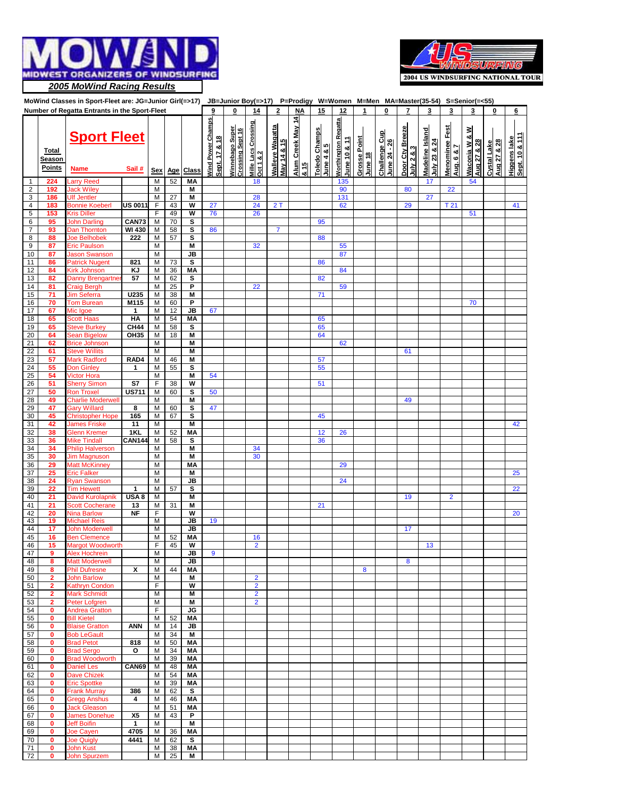

72 **0** John Spurzem M 25 **M**

 $\mathbf{I}$ 

 $\blacksquare$ 

 $\mathbf{I}$ 

 $\blacksquare$ 

 $\blacksquare$ 

 $\blacksquare$ 

 $\mathbf{I}$ 

 $\blacksquare$ 

 $\mathbf{I}$ 

 $\mathbf{I}$ 

- 1



|                |                                  | MoWind Classes in Sport-Fleet are: JG=Junior Girl(=>17) JB=Junior Boy(=>17) P=Prodigy W=Women M=Men MA=Master(35-54) S=Senior(=<55) |               |            |          |                         |                                           |                                              |                                         |                                       |                                      |                             |                                            |                         |                               |                                 |                                 |                                     |                              |                            |                                |
|----------------|----------------------------------|-------------------------------------------------------------------------------------------------------------------------------------|---------------|------------|----------|-------------------------|-------------------------------------------|----------------------------------------------|-----------------------------------------|---------------------------------------|--------------------------------------|-----------------------------|--------------------------------------------|-------------------------|-------------------------------|---------------------------------|---------------------------------|-------------------------------------|------------------------------|----------------------------|--------------------------------|
|                |                                  | Number of Regatta Entrants in the Sport-Fleet                                                                                       |               |            |          |                         |                                           |                                              | 14                                      | 2                                     | <b>NA</b>                            | 15                          | 12                                         | 1                       | 0                             | 7                               | 3                               | 3                                   | 3                            | 0                          | 6                              |
|                | <b>Total</b><br>Season<br>Points | <b>Sport Fleet</b>                                                                                                                  |               |            |          |                         | <b>Nind Power Champs</b><br>Sept. 17 & 18 | Super<br>Winnebago Super<br>Crossing Sept 16 | <u>Mille Lacs Crossing</u><br>Oct 1 & 2 | <b>Walleye Wagatta</b><br>May 14 & 15 | Alum Creek May 14<br><u>&amp; 15</u> | Toledo Champs<br>June 4 & 5 | <b>Worthington Regatta</b><br>June 10 & 11 | Grosse Point<br>June 18 | Challenge Cup<br>June 24 - 26 | Door Cty Breeze<br>July 2 & 8.3 | Madeline Island<br>July 23 & 24 | <b>Menominee Fest</b><br>Aug. 6 & 7 | Waconia W & W<br>Aug 27 & 28 | Aug 27 & 28<br>Cystal Lake | Sept. 10 & 111<br>Higgens lake |
|                |                                  | <b>Name</b>                                                                                                                         | Sail#         | <b>Sex</b> | Age      | <b>Class</b>            |                                           |                                              |                                         |                                       |                                      |                             |                                            |                         |                               |                                 |                                 |                                     |                              |                            |                                |
| 1              | 224                              | arry Reed                                                                                                                           |               | M          | 52       | <b>MA</b>               |                                           |                                              | 18                                      |                                       |                                      |                             | 135                                        |                         |                               |                                 | 17                              |                                     | 54                           |                            |                                |
| $\sqrt{2}$     | 192                              | <b>Jack Wiley</b>                                                                                                                   |               | M          |          | М                       |                                           |                                              |                                         |                                       |                                      |                             | 90                                         |                         |                               | 80                              |                                 | 22                                  |                              |                            |                                |
| $\mathsf 3$    | 186                              | <b>Jlf Jentler</b>                                                                                                                  |               | M          | 27       | M                       |                                           |                                              | 28                                      |                                       |                                      |                             | 131                                        |                         |                               |                                 | 27                              |                                     |                              |                            |                                |
| $\overline{4}$ | 183                              | <b>Bonnie Koeberl</b>                                                                                                               | US 0011       | F          | 43       | W                       | 27                                        |                                              | 24                                      | 2T                                    |                                      |                             | 62                                         |                         |                               | 29                              |                                 | T <sub>21</sub>                     |                              |                            | 41                             |
| $\overline{5}$ | 153                              | <b>Kris Diller</b>                                                                                                                  |               | F          | 49       | $\overline{\mathsf{w}}$ | 76                                        |                                              | 26                                      |                                       |                                      |                             |                                            |                         |                               |                                 |                                 |                                     | 51                           |                            |                                |
| 6              | 95                               | <b>John Darling</b>                                                                                                                 | CAN73         | M          | 70       | s                       |                                           |                                              |                                         |                                       |                                      | 95                          |                                            |                         |                               |                                 |                                 |                                     |                              |                            |                                |
| $\overline{7}$ | 93                               | Dan Thornton                                                                                                                        | <b>WI430</b>  | M          | 58       | s                       | 86                                        |                                              |                                         | $\overline{7}$                        |                                      |                             |                                            |                         |                               |                                 |                                 |                                     |                              |                            |                                |
| 8              | 88                               | Joe Belhobek                                                                                                                        | 222           | M          | 57       | s                       |                                           |                                              |                                         |                                       |                                      | 88                          |                                            |                         |                               |                                 |                                 |                                     |                              |                            |                                |
| $\overline{9}$ | 87                               | Eric Paulson                                                                                                                        |               | M          |          | M                       |                                           |                                              | 32                                      |                                       |                                      |                             | 55                                         |                         |                               |                                 |                                 |                                     |                              |                            |                                |
| 10             | 87                               | Jason Swanson                                                                                                                       |               | M          |          | JB                      |                                           |                                              |                                         |                                       |                                      |                             | 87                                         |                         |                               |                                 |                                 |                                     |                              |                            |                                |
| 11             | 86                               | <b>Patrick Nugent</b>                                                                                                               | 821           | M          | 73       | s                       |                                           |                                              |                                         |                                       |                                      | 86                          |                                            |                         |                               |                                 |                                 |                                     |                              |                            |                                |
| 12             | 84                               | <b>Kirk Johnson</b>                                                                                                                 | ΚJ            | M          | 36       | <b>MA</b>               |                                           |                                              |                                         |                                       |                                      |                             | 84                                         |                         |                               |                                 |                                 |                                     |                              |                            |                                |
| 13             | 82                               | Danny Brengartne                                                                                                                    | 57            | M          | 62       | s                       |                                           |                                              |                                         |                                       |                                      | 82                          |                                            |                         |                               |                                 |                                 |                                     |                              |                            |                                |
| 14             | 81                               | <b>Craig Bergh</b>                                                                                                                  |               | M          | 25       | P                       |                                           |                                              | 22                                      |                                       |                                      |                             | 59                                         |                         |                               |                                 |                                 |                                     |                              |                            |                                |
| 15             | 71                               | Jim Seferra                                                                                                                         | U235          | M          | 38       | M                       |                                           |                                              |                                         |                                       |                                      | 71                          |                                            |                         |                               |                                 |                                 |                                     |                              |                            |                                |
| 16             | 70                               | <b>Tom Burean</b>                                                                                                                   | M115          | M          | 60       | P                       |                                           |                                              |                                         |                                       |                                      |                             |                                            |                         |                               |                                 |                                 |                                     | 70                           |                            |                                |
| 17             | 67                               | Mic Igoe                                                                                                                            | 1             | M          | 12       | JB                      | 67                                        |                                              |                                         |                                       |                                      |                             |                                            |                         |                               |                                 |                                 |                                     |                              |                            |                                |
| 18             | 65                               | Scott Haas                                                                                                                          | HA            | M          | 54       | MA                      |                                           |                                              |                                         |                                       |                                      | 65                          |                                            |                         |                               |                                 |                                 |                                     |                              |                            |                                |
| 19             | 65                               | Steve Burkey                                                                                                                        | <b>CH44</b>   | M          | 58       | s                       |                                           |                                              |                                         |                                       |                                      | 65                          |                                            |                         |                               |                                 |                                 |                                     |                              |                            |                                |
| 20             | 64                               | Sean Bigelow                                                                                                                        | <b>OH35</b>   | M          | 18       | M                       |                                           |                                              |                                         |                                       |                                      | 64                          |                                            |                         |                               |                                 |                                 |                                     |                              |                            |                                |
| 21             | 62                               | <b>Brice Johnson</b>                                                                                                                |               | M          |          | M                       |                                           |                                              |                                         |                                       |                                      |                             | 62                                         |                         |                               |                                 |                                 |                                     |                              |                            |                                |
| 22             | 61                               | <b>Steve Willits</b>                                                                                                                |               | M          |          | M                       |                                           |                                              |                                         |                                       |                                      |                             |                                            |                         |                               | 61                              |                                 |                                     |                              |                            |                                |
| 23             | 57                               | Mark Radford                                                                                                                        | RAD4          | M          | 46       | M                       |                                           |                                              |                                         |                                       |                                      | 57                          |                                            |                         |                               |                                 |                                 |                                     |                              |                            |                                |
| 24<br>25       | 55                               | <b>Don Ginley</b>                                                                                                                   | 1             | M<br>M     | 55       | s<br>M                  |                                           |                                              |                                         |                                       |                                      | 55                          |                                            |                         |                               |                                 |                                 |                                     |                              |                            |                                |
| 26             | 54<br>51                         | <b>Victor Hora</b><br><b>Sherry Simon</b>                                                                                           | S7            | F          | 38       | W                       | 54                                        |                                              |                                         |                                       |                                      | 51                          |                                            |                         |                               |                                 |                                 |                                     |                              |                            |                                |
| 27             | 50                               | <b>Ron Troxel</b>                                                                                                                   | US711         | M          | 60       | s                       | 50                                        |                                              |                                         |                                       |                                      |                             |                                            |                         |                               |                                 |                                 |                                     |                              |                            |                                |
| 28             | 49                               | <b>Charlie Moderwell</b>                                                                                                            |               | M          |          | M                       |                                           |                                              |                                         |                                       |                                      |                             |                                            |                         |                               | 49                              |                                 |                                     |                              |                            |                                |
| 29             | 47                               | <b>Gary Willard</b>                                                                                                                 | 8             | M          | 60       | s                       | 47                                        |                                              |                                         |                                       |                                      |                             |                                            |                         |                               |                                 |                                 |                                     |                              |                            |                                |
| 30             | 45                               | <b>Christopher Hope</b>                                                                                                             | 165           | M          | 67       | s                       |                                           |                                              |                                         |                                       |                                      | 45                          |                                            |                         |                               |                                 |                                 |                                     |                              |                            |                                |
| 31             | 42                               | <b>James Friske</b>                                                                                                                 | 11            | М          |          | M                       |                                           |                                              |                                         |                                       |                                      |                             |                                            |                         |                               |                                 |                                 |                                     |                              |                            | 42                             |
| 32             | 38                               | <b>Glenn Kremer</b>                                                                                                                 | 1KL           | M          | 52       | MA                      |                                           |                                              |                                         |                                       |                                      | 12                          | 26                                         |                         |                               |                                 |                                 |                                     |                              |                            |                                |
| 33             | 36                               | Mike Tindall                                                                                                                        | <b>CAN144</b> | M          | 58       | s                       |                                           |                                              |                                         |                                       |                                      | 36                          |                                            |                         |                               |                                 |                                 |                                     |                              |                            |                                |
| 34             | 34                               | Philip Halverson                                                                                                                    |               | M          |          | M                       |                                           |                                              | 34                                      |                                       |                                      |                             |                                            |                         |                               |                                 |                                 |                                     |                              |                            |                                |
| 35             | 30                               | <b>Jim Magnuson</b>                                                                                                                 |               | M          |          | M                       |                                           |                                              | 30                                      |                                       |                                      |                             |                                            |                         |                               |                                 |                                 |                                     |                              |                            |                                |
| 36             | 29                               | <b>Matt McKinney</b>                                                                                                                |               | М          |          | MA                      |                                           |                                              |                                         |                                       |                                      |                             | 29                                         |                         |                               |                                 |                                 |                                     |                              |                            |                                |
| 37             | 25                               | Eric Falker                                                                                                                         |               | M          |          | M                       |                                           |                                              |                                         |                                       |                                      |                             |                                            |                         |                               |                                 |                                 |                                     |                              |                            | 25                             |
| 38             | 24                               | Ryan Swanson                                                                                                                        |               | M          |          | JB                      |                                           |                                              |                                         |                                       |                                      |                             | 24                                         |                         |                               |                                 |                                 |                                     |                              |                            |                                |
| 39             | 22                               | <b>Tim Hewett</b>                                                                                                                   | 1             | M          | 57       | s                       |                                           |                                              |                                         |                                       |                                      |                             |                                            |                         |                               |                                 |                                 |                                     |                              |                            | 22                             |
| 40             | 21                               | David Kurolapnik                                                                                                                    | <b>USA 8</b>  | M          |          | M                       |                                           |                                              |                                         |                                       |                                      |                             |                                            |                         |                               | 19                              |                                 | $\overline{2}$                      |                              |                            |                                |
| 41             | 21                               | <b>Scott Cocherane</b>                                                                                                              | 13            | М          | 31       | M                       |                                           |                                              |                                         |                                       |                                      | 21                          |                                            |                         |                               |                                 |                                 |                                     |                              |                            |                                |
| 42<br>43       | 20<br>19                         | <b>Nina Barlow</b>                                                                                                                  | <b>NF</b>     | F<br>M     |          | W<br>JB                 | 19                                        |                                              |                                         |                                       |                                      |                             |                                            |                         |                               |                                 |                                 |                                     |                              |                            | 20                             |
| 44             | 17                               | Michael Reis<br><b>John Moderwell</b>                                                                                               |               | M          |          | JB                      |                                           |                                              |                                         |                                       |                                      |                             |                                            |                         |                               | 17                              |                                 |                                     |                              |                            |                                |
| 45             | 16                               | <b>Ben Clemence</b>                                                                                                                 |               | M          | 52       | MA                      |                                           |                                              | 16                                      |                                       |                                      |                             |                                            |                         |                               |                                 |                                 |                                     |                              |                            |                                |
| 46             | 15                               | Margot Woodworth                                                                                                                    |               | F          | 45       | W                       |                                           |                                              | $\overline{2}$                          |                                       |                                      |                             |                                            |                         |                               |                                 | 13                              |                                     |                              |                            |                                |
| 47             | 9                                | <b>Alex Hochrein</b>                                                                                                                |               | м          |          | JB                      | 9                                         |                                              |                                         |                                       |                                      |                             |                                            |                         |                               |                                 |                                 |                                     |                              |                            |                                |
| 48             | 8                                | <b>Matt Moderwell</b>                                                                                                               |               | М          |          | JB                      |                                           |                                              |                                         |                                       |                                      |                             |                                            |                         |                               | 8                               |                                 |                                     |                              |                            |                                |
| 49             | 8                                | Phil Dufresne                                                                                                                       | x             | М          | 44       | МA                      |                                           |                                              |                                         |                                       |                                      |                             |                                            | 8                       |                               |                                 |                                 |                                     |                              |                            |                                |
| 50             | 2                                | <b>John Barlow</b>                                                                                                                  |               | M          |          | м                       |                                           |                                              | $\overline{2}$                          |                                       |                                      |                             |                                            |                         |                               |                                 |                                 |                                     |                              |                            |                                |
| 51             | $\overline{\mathbf{2}}$          | Kathryn Condon                                                                                                                      |               | F          |          | W                       |                                           |                                              | $\overline{2}$                          |                                       |                                      |                             |                                            |                         |                               |                                 |                                 |                                     |                              |                            |                                |
| 52             | $\overline{2}$                   | <b>Mark Schmidt</b>                                                                                                                 |               | M          |          | M                       |                                           |                                              | $\overline{2}$                          |                                       |                                      |                             |                                            |                         |                               |                                 |                                 |                                     |                              |                            |                                |
| 53             | 2                                | Peter Lofgren                                                                                                                       |               | M          |          | M                       |                                           |                                              | $\overline{2}$                          |                                       |                                      |                             |                                            |                         |                               |                                 |                                 |                                     |                              |                            |                                |
| 54             | 0                                | <b>Andrea Gratton</b>                                                                                                               |               | F          |          | JG                      |                                           |                                              |                                         |                                       |                                      |                             |                                            |                         |                               |                                 |                                 |                                     |                              |                            |                                |
| 55             | $\mathbf{0}$                     | <b>Bill Kietel</b>                                                                                                                  |               | M          | 52       | ΜA                      |                                           |                                              |                                         |                                       |                                      |                             |                                            |                         |                               |                                 |                                 |                                     |                              |                            |                                |
| 56             | 0<br>0                           | <b>Blaise Gratton</b>                                                                                                               | <b>ANN</b>    | M<br>M     | 14       | JB<br>M                 |                                           |                                              |                                         |                                       |                                      |                             |                                            |                         |                               |                                 |                                 |                                     |                              |                            |                                |
| 57<br>58       | 0                                | <b>Bob LeGault</b><br><b>Brad Petot</b>                                                                                             | 818           | M          | 34<br>50 | ΜA                      |                                           |                                              |                                         |                                       |                                      |                             |                                            |                         |                               |                                 |                                 |                                     |                              |                            |                                |
| 59             | 0                                | <b>Brad Sergo</b>                                                                                                                   | О             | M          | 34       | ΜA                      |                                           |                                              |                                         |                                       |                                      |                             |                                            |                         |                               |                                 |                                 |                                     |                              |                            |                                |
| 60             | 0                                | <b>Brad Woodworth</b>                                                                                                               |               | M          | 39       | MА                      |                                           |                                              |                                         |                                       |                                      |                             |                                            |                         |                               |                                 |                                 |                                     |                              |                            |                                |
| 61             | 0                                | <b>Daniel Les</b>                                                                                                                   | CAN69         | M          | 48       | МA                      |                                           |                                              |                                         |                                       |                                      |                             |                                            |                         |                               |                                 |                                 |                                     |                              |                            |                                |
| 62             | 0                                | <b>Dave Chizek</b>                                                                                                                  |               | M          | 54       | MА                      |                                           |                                              |                                         |                                       |                                      |                             |                                            |                         |                               |                                 |                                 |                                     |                              |                            |                                |
| 63             | 0                                | Eric Spottke                                                                                                                        |               | M          | 39       | MА                      |                                           |                                              |                                         |                                       |                                      |                             |                                            |                         |                               |                                 |                                 |                                     |                              |                            |                                |
| 64             | 0                                | Frank Murray                                                                                                                        | 386           | M          | 62       | s                       |                                           |                                              |                                         |                                       |                                      |                             |                                            |                         |                               |                                 |                                 |                                     |                              |                            |                                |
| 65             | 0                                | <b>Gregg Anshus</b>                                                                                                                 | 4             | M          | 46       | MA                      |                                           |                                              |                                         |                                       |                                      |                             |                                            |                         |                               |                                 |                                 |                                     |                              |                            |                                |
| 66             | 0                                | Jack Gleason                                                                                                                        |               | M          | 51       | MА                      |                                           |                                              |                                         |                                       |                                      |                             |                                            |                         |                               |                                 |                                 |                                     |                              |                            |                                |
| 67             | 0                                | <b>James Donehue</b>                                                                                                                | X5            | M          | 43       | P                       |                                           |                                              |                                         |                                       |                                      |                             |                                            |                         |                               |                                 |                                 |                                     |                              |                            |                                |
| 68             | 0                                | <b>Jeff Boifin</b>                                                                                                                  | 1             | М          |          | M                       |                                           |                                              |                                         |                                       |                                      |                             |                                            |                         |                               |                                 |                                 |                                     |                              |                            |                                |
| 69             | 0                                | Joe Cayen                                                                                                                           | 4705          | м          | 36       | ΜA                      |                                           |                                              |                                         |                                       |                                      |                             |                                            |                         |                               |                                 |                                 |                                     |                              |                            |                                |
| 70             | 0                                | <b>Joe Quigly</b>                                                                                                                   | 4441          | M          | 62       | s                       |                                           |                                              |                                         |                                       |                                      |                             |                                            |                         |                               |                                 |                                 |                                     |                              |                            |                                |
| 71             | $\mathbf 0$                      | <b>John Kust</b>                                                                                                                    |               | M          | 38       | ΜA                      |                                           |                                              |                                         |                                       |                                      |                             |                                            |                         |                               |                                 |                                 |                                     |                              |                            |                                |